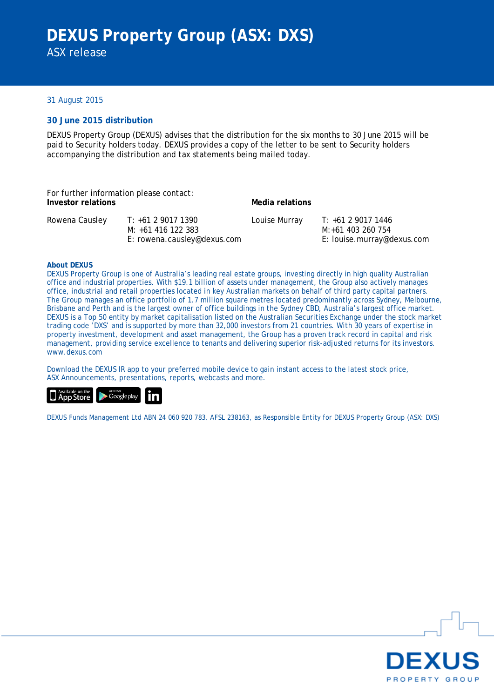### 31 August 2015

### **30 June 2015 distribution**

DEXUS Property Group (DEXUS) advises that the distribution for the six months to 30 June 2015 will be paid to Security holders today. DEXUS provides a copy of the letter to be sent to Security holders accompanying the distribution and tax statements being mailed today.

| For further information please contact:<br>Investor relations |                                                                         | Media relations |                                                                       |
|---------------------------------------------------------------|-------------------------------------------------------------------------|-----------------|-----------------------------------------------------------------------|
| Rowena Causley                                                | T: +61 2 9017 1390<br>M: +61 416 122 383<br>E: rowena.causley@dexus.com | Louise Murray   | T: +61 2 9017 1446<br>M:+61 403 260 754<br>E: louise.murray@dexus.com |

#### **About DEXUS**

DEXUS Property Group is one of Australia's leading real estate groups, investing directly in high quality Australian office and industrial properties. With \$19.1 billion of assets under management, the Group also actively manages office, industrial and retail properties located in key Australian markets on behalf of third party capital partners. The Group manages an office portfolio of 1.7 million square metres located predominantly across Sydney, Melbourne, Brisbane and Perth and is the largest owner of office buildings in the Sydney CBD, Australia's largest office market. DEXUS is a Top 50 entity by market capitalisation listed on the Australian Securities Exchange under the stock market trading code 'DXS' and is supported by more than 32,000 investors from 21 countries. With 30 years of expertise in property investment, development and asset management, the Group has a proven track record in capital and risk management, providing service excellence to tenants and delivering superior risk-adjusted returns for its investors. www.dexus.com

Download the DEXUS IR app to your preferred mobile device to gain instant access to the latest stock price, ASX Announcements, presentations, reports, webcasts and more.



DEXUS Funds Management Ltd ABN 24 060 920 783, AFSL 238163, as Responsible Entity for DEXUS Property Group (ASX: DXS)

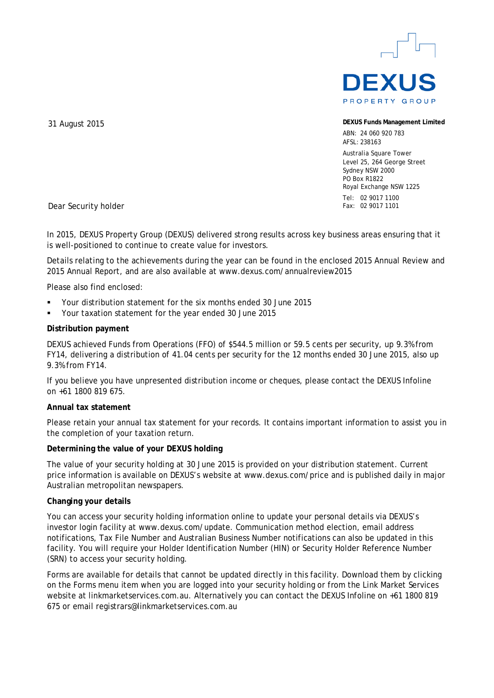

**DEXUS Funds Management Limited**

ABN: 24 060 920 783 AFSL: 238163

Australia Square Tower Level 25, 264 George Street Sydney NSW 2000 PO Box R1822 Royal Exchange NSW 1225 Tel: 02 9017 1100 Fax: 02 9017 1101

31 August 2015

Dear Security holder

In 2015, DEXUS Property Group (DEXUS) delivered strong results across key business areas ensuring that it is well-positioned to continue to create value for investors.

Details relating to the achievements during the year can be found in the enclosed 2015 Annual Review and 2015 Annual Report, and are also available at www.dexus.com/annualreview2015

Please also find enclosed:

- Your distribution statement for the six months ended 30 June 2015
- Your taxation statement for the year ended 30 June 2015

### **Distribution payment**

DEXUS achieved Funds from Operations (FFO) of \$544.5 million or 59.5 cents per security, up 9.3% from FY14, delivering a distribution of 41.04 cents per security for the 12 months ended 30 June 2015, also up 9.3% from FY14.

If you believe you have unpresented distribution income or cheques, please contact the DEXUS Infoline on +61 1800 819 675.

#### **Annual tax statement**

Please retain your annual tax statement for your records. It contains important information to assist you in the completion of your taxation return.

#### **Determining the value of your DEXUS holding**

The value of your security holding at 30 June 2015 is provided on your distribution statement. Current price information is available on DEXUS's website at www.dexus.com/price and is published daily in major Australian metropolitan newspapers.

#### **Changing your details**

You can access your security holding information online to update your personal details via DEXUS's investor login facility at www.dexus.com/update. Communication method election, email address notifications, Tax File Number and Australian Business Number notifications can also be updated in this facility. You will require your Holder Identification Number (HIN) or Security Holder Reference Number (SRN) to access your security holding.

Forms are available for details that cannot be updated directly in this facility. Download them by clicking on the Forms menu item when you are logged into your security holding or from the Link Market Services website at linkmarketservices.com.au. Alternatively you can contact the DEXUS Infoline on +61 1800 819 675 or email registrars@linkmarketservices.com.au